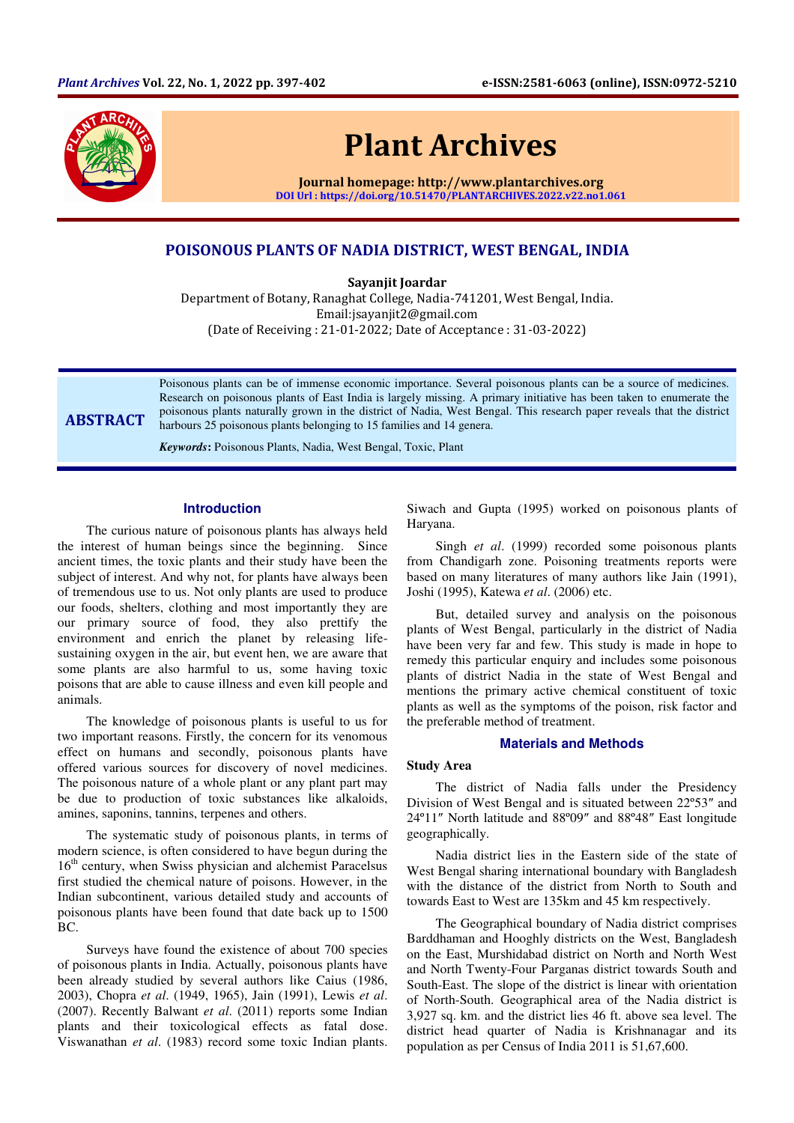

# Plant Archives

Journal homepage: http://www.plantarchives.org DOI Url : https://doi.org/10.51470/PLANTARCHIVES.2022.v22.no1.061

# POISONOUS PLANTS OF NADIA DISTRICT, WEST BENGAL, INDIA

Sayanjit Joardar

Department of Botany, Ranaghat College, Nadia-741201, West Bengal, India. Email:jsayanjit2@gmail.com (Date of Receiving : 21-01-2022; Date of Acceptance : 31-03-2022)

**ABSTRACT** 

Poisonous plants can be of immense economic importance. Several poisonous plants can be a source of medicines. Research on poisonous plants of East India is largely missing. A primary initiative has been taken to enumerate the poisonous plants naturally grown in the district of Nadia, West Bengal. This research paper reveals that the district harbours 25 poisonous plants belonging to 15 families and 14 genera.

*Keywords***:** Poisonous Plants, Nadia, West Bengal, Toxic, Plant

# **Introduction**

The curious nature of poisonous plants has always held the interest of human beings since the beginning. Since ancient times, the toxic plants and their study have been the subject of interest. And why not, for plants have always been of tremendous use to us. Not only plants are used to produce our foods, shelters, clothing and most importantly they are our primary source of food, they also prettify the environment and enrich the planet by releasing lifesustaining oxygen in the air, but event hen, we are aware that some plants are also harmful to us, some having toxic poisons that are able to cause illness and even kill people and animals.

The knowledge of poisonous plants is useful to us for two important reasons. Firstly, the concern for its venomous effect on humans and secondly, poisonous plants have offered various sources for discovery of novel medicines. The poisonous nature of a whole plant or any plant part may be due to production of toxic substances like alkaloids, amines, saponins, tannins, terpenes and others.

The systematic study of poisonous plants, in terms of modern science, is often considered to have begun during the 16<sup>th</sup> century, when Swiss physician and alchemist Paracelsus first studied the chemical nature of poisons. However, in the Indian subcontinent, various detailed study and accounts of poisonous plants have been found that date back up to 1500 BC.

Surveys have found the existence of about 700 species of poisonous plants in India. Actually, poisonous plants have been already studied by several authors like Caius (1986, 2003), Chopra *et al*. (1949, 1965), Jain (1991), Lewis *et al*. (2007). Recently Balwant *et al*. (2011) reports some Indian plants and their toxicological effects as fatal dose. Viswanathan *et al*. (1983) record some toxic Indian plants. Siwach and Gupta (1995) worked on poisonous plants of Haryana.

Singh *et al*. (1999) recorded some poisonous plants from Chandigarh zone. Poisoning treatments reports were based on many literatures of many authors like Jain (1991), Joshi (1995), Katewa *et al*. (2006) etc.

But, detailed survey and analysis on the poisonous plants of West Bengal, particularly in the district of Nadia have been very far and few. This study is made in hope to remedy this particular enquiry and includes some poisonous plants of district Nadia in the state of West Bengal and mentions the primary active chemical constituent of toxic plants as well as the symptoms of the poison, risk factor and the preferable method of treatment.

#### **Materials and Methods**

#### **Study Area**

The district of Nadia falls under the Presidency Division of West Bengal and is situated between 22º53″ and 24º11″ North latitude and 88º09″ and 88º48″ East longitude geographically.

Nadia district lies in the Eastern side of the state of West Bengal sharing international boundary with Bangladesh with the distance of the district from North to South and towards East to West are 135km and 45 km respectively.

The Geographical boundary of Nadia district comprises Barddhaman and Hooghly districts on the West, Bangladesh on the East, Murshidabad district on North and North West and North Twenty-Four Parganas district towards South and South-East. The slope of the district is linear with orientation of North-South. Geographical area of the Nadia district is 3,927 sq. km. and the district lies 46 ft. above sea level. The district head quarter of Nadia is Krishnanagar and its population as per Census of India 2011 is 51,67,600.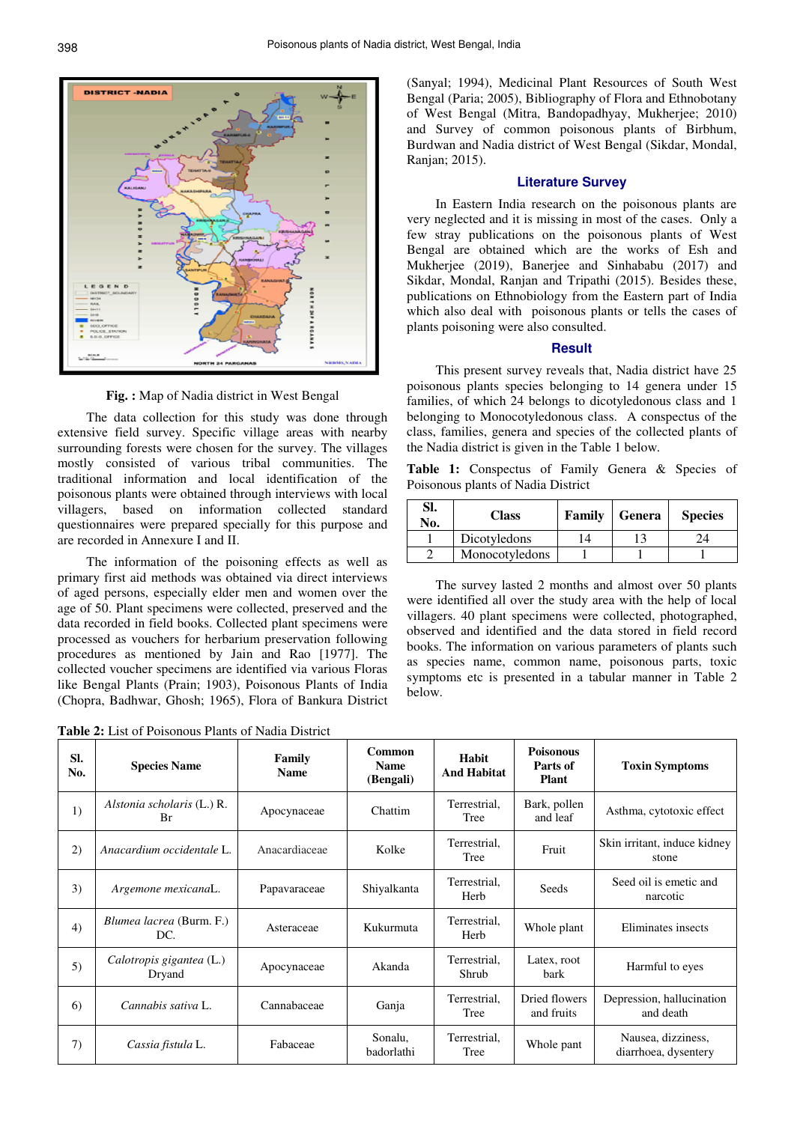

**Fig. :** Map of Nadia district in West Bengal

The data collection for this study was done through extensive field survey. Specific village areas with nearby surrounding forests were chosen for the survey. The villages mostly consisted of various tribal communities. The traditional information and local identification of the poisonous plants were obtained through interviews with local villagers, based on information collected standard questionnaires were prepared specially for this purpose and are recorded in Annexure I and II.

The information of the poisoning effects as well as primary first aid methods was obtained via direct interviews of aged persons, especially elder men and women over the age of 50. Plant specimens were collected, preserved and the data recorded in field books. Collected plant specimens were processed as vouchers for herbarium preservation following procedures as mentioned by Jain and Rao [1977]. The collected voucher specimens are identified via various Floras like Bengal Plants (Prain; 1903), Poisonous Plants of India (Chopra, Badhwar, Ghosh; 1965), Flora of Bankura District

**Table 2:** List of Poisonous Plants of Nadia District

(Sanyal; 1994), Medicinal Plant Resources of South West Bengal (Paria; 2005), Bibliography of Flora and Ethnobotany of West Bengal (Mitra, Bandopadhyay, Mukherjee; 2010) and Survey of common poisonous plants of Birbhum, Burdwan and Nadia district of West Bengal (Sikdar, Mondal, Ranjan; 2015).

# **Literature Survey**

In Eastern India research on the poisonous plants are very neglected and it is missing in most of the cases. Only a few stray publications on the poisonous plants of West Bengal are obtained which are the works of Esh and Mukherjee (2019), Banerjee and Sinhababu (2017) and Sikdar, Mondal, Ranjan and Tripathi (2015). Besides these, publications on Ethnobiology from the Eastern part of India which also deal with poisonous plants or tells the cases of plants poisoning were also consulted.

#### **Result**

This present survey reveals that, Nadia district have 25 poisonous plants species belonging to 14 genera under 15 families, of which 24 belongs to dicotyledonous class and 1 belonging to Monocotyledonous class. A conspectus of the class, families, genera and species of the collected plants of the Nadia district is given in the Table 1 below.

**Table 1:** Conspectus of Family Genera & Species of Poisonous plants of Nadia District

| SI.<br>No. | <b>Class</b>   | Family | Genera | <b>Species</b> |
|------------|----------------|--------|--------|----------------|
|            | Dicotyledons   | 14     |        |                |
|            | Monocotyledons |        |        |                |

The survey lasted 2 months and almost over 50 plants were identified all over the study area with the help of local villagers. 40 plant specimens were collected, photographed, observed and identified and the data stored in field record books. The information on various parameters of plants such as species name, common name, poisonous parts, toxic symptoms etc is presented in a tabular manner in Table 2 below.

| SI.<br>No. | <b>Species Name</b>                | Family<br><b>Name</b> | Common<br><b>Name</b><br>(Bengali) | Habit<br><b>And Habitat</b> | <b>Poisonous</b><br>Parts of<br><b>Plant</b> | <b>Toxin Symptoms</b>                      |
|------------|------------------------------------|-----------------------|------------------------------------|-----------------------------|----------------------------------------------|--------------------------------------------|
| 1)         | Alstonia scholaris (L.) R.<br>Br   | Apocynaceae           | Chattim                            | Terrestrial,<br>Tree        | Bark, pollen<br>and leaf                     | Asthma, cytotoxic effect                   |
| 2)         | Anacardium occidentale L.          | Anacardiaceae         | Kolke                              | Terrestrial,<br>Tree        | Fruit                                        | Skin irritant, induce kidney<br>stone      |
| 3)         | Argemone mexicanaL.                | Papavaraceae          | Shiyalkanta                        | Terrestrial,<br>Herb        | Seeds                                        | Seed oil is emetic and<br>narcotic         |
| 4)         | Blumea lacrea (Burm. F.)<br>DC.    | Asteraceae            | Kukurmuta                          | Terrestrial,<br>Herb        | Whole plant                                  | Eliminates insects                         |
| 5)         | Calotropis gigantea (L.)<br>Dryand | Apocynaceae           | Akanda                             | Terrestrial,<br>Shrub       | Latex, root<br>bark                          | Harmful to eyes                            |
| 6          | Cannabis sativa L.                 | Cannabaceae           | Ganja                              | Terrestrial.<br>Tree        | Dried flowers<br>and fruits                  | Depression, hallucination<br>and death     |
| 7)         | Cassia fistula L.                  | Fabaceae              | Sonalu,<br>badorlathi              | Terrestrial,<br>Tree        | Whole pant                                   | Nausea, dizziness,<br>diarrhoea, dysentery |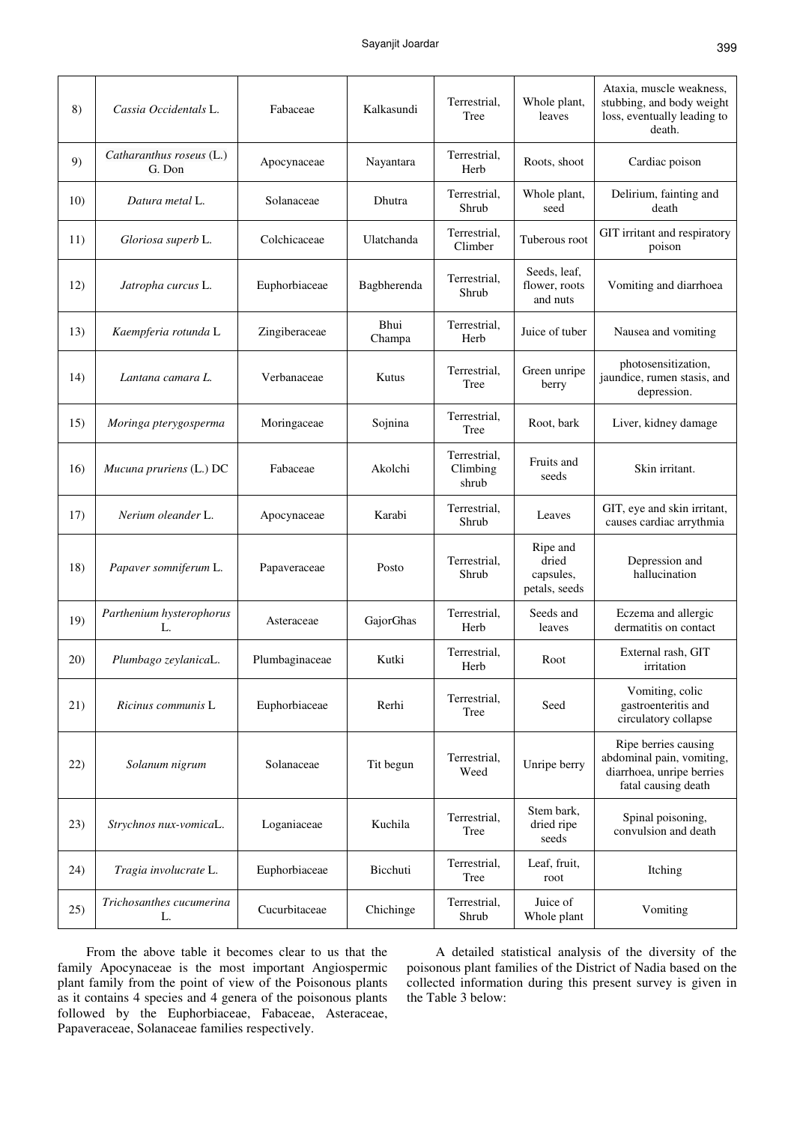| 8)          | Cassia Occidentals L.              | Fabaceae       | Kalkasundi     | Terrestrial,<br>Tree              | Whole plant,<br>leaves                          | Ataxia, muscle weakness,<br>stubbing, and body weight<br>loss, eventually leading to<br>death.        |
|-------------|------------------------------------|----------------|----------------|-----------------------------------|-------------------------------------------------|-------------------------------------------------------------------------------------------------------|
| 9)          | Catharanthus roseus (L.)<br>G. Don | Apocynaceae    | Nayantara      | Terrestrial,<br>Herb              | Roots, shoot                                    | Cardiac poison                                                                                        |
| 10)         | Datura metal L.                    | Solanaceae     | Dhutra         | Terrestrial,<br>Shrub             | Whole plant,<br>seed                            | Delirium, fainting and<br>death                                                                       |
| 11)         | Gloriosa superb L.                 | Colchicaceae   | Ulatchanda     | Terrestrial,<br>Climber           | Tuberous root                                   | GIT irritant and respiratory<br>poison                                                                |
| 12)         | Jatropha curcus L.                 | Euphorbiaceae  | Bagbherenda    | Terrestrial,<br>Shrub             | Seeds, leaf,<br>flower, roots<br>and nuts       | Vomiting and diarrhoea                                                                                |
| 13)         | Kaempferia rotunda L               | Zingiberaceae  | Bhui<br>Champa | Terrestrial,<br>Herb              | Juice of tuber                                  | Nausea and vomiting                                                                                   |
| 14)         | Lantana camara L.                  | Verbanaceae    | Kutus          | Terrestrial,<br>Tree              | Green unripe<br>berry                           | photosensitization,<br>jaundice, rumen stasis, and<br>depression.                                     |
| 15)         | Moringa pterygosperma              | Moringaceae    | Sojnina        | Terrestrial,<br>Tree              | Root, bark                                      | Liver, kidney damage                                                                                  |
| 16)         | Mucuna pruriens (L.) DC            | Fabaceae       | Akolchi        | Terrestrial,<br>Climbing<br>shrub | Fruits and<br>seeds                             | Skin irritant.                                                                                        |
| 17)         | Nerium oleander L.                 | Apocynaceae    | Karabi         | Terrestrial,<br>Shrub             | Leaves                                          | GIT, eye and skin irritant,<br>causes cardiac arrythmia                                               |
| 18)         | Papaver somniferum L.              | Papaveraceae   | Posto          | Terrestrial,<br>Shrub             | Ripe and<br>dried<br>capsules,<br>petals, seeds | Depression and<br>hallucination                                                                       |
| 19)         | Parthenium hysterophorus<br>L.     | Asteraceae     | GajorGhas      | Terrestrial,<br>Herb              | Seeds and<br>leaves                             | Eczema and allergic<br>dermatitis on contact                                                          |
| <b>20</b> ) | Plumbago zeylanicaL.               | Plumbaginaceae | Kutki          | Terrestrial,<br>Herb              | Root                                            | External rash, GIT<br>irritation                                                                      |
| 21)         | Ricinus communis L                 | Euphorbiaceae  | Rerhi          | Terrestrial,<br>Tree              | Seed                                            | Vomiting, colic<br>gastroenteritis and<br>circulatory collapse                                        |
| 22)         | Solanum nigrum                     | Solanaceae     | Tit begun      | Terrestrial,<br>Weed              | Unripe berry                                    | Ripe berries causing<br>abdominal pain, vomiting,<br>diarrhoea, unripe berries<br>fatal causing death |
| 23)         | Strychnos nux-vomicaL.             | Loganiaceae    | Kuchila        | Terrestrial.<br>Tree              | Stem bark,<br>dried ripe<br>seeds               | Spinal poisoning,<br>convulsion and death                                                             |
| 24)         | Tragia involucrate L.              | Euphorbiaceae  | Bicchuti       | Terrestrial,<br>Tree              | Leaf, fruit,<br>root                            | Itching                                                                                               |
| 25)         | Trichosanthes cucumerina<br>L.     | Cucurbitaceae  | Chichinge      | Terrestrial,<br>Shrub             | Juice of<br>Whole plant                         | Vomiting                                                                                              |

From the above table it becomes clear to us that the family Apocynaceae is the most important Angiospermic plant family from the point of view of the Poisonous plants as it contains 4 species and 4 genera of the poisonous plants followed by the Euphorbiaceae, Fabaceae, Asteraceae, Papaveraceae, Solanaceae families respectively.

A detailed statistical analysis of the diversity of the poisonous plant families of the District of Nadia based on the collected information during this present survey is given in the Table 3 below: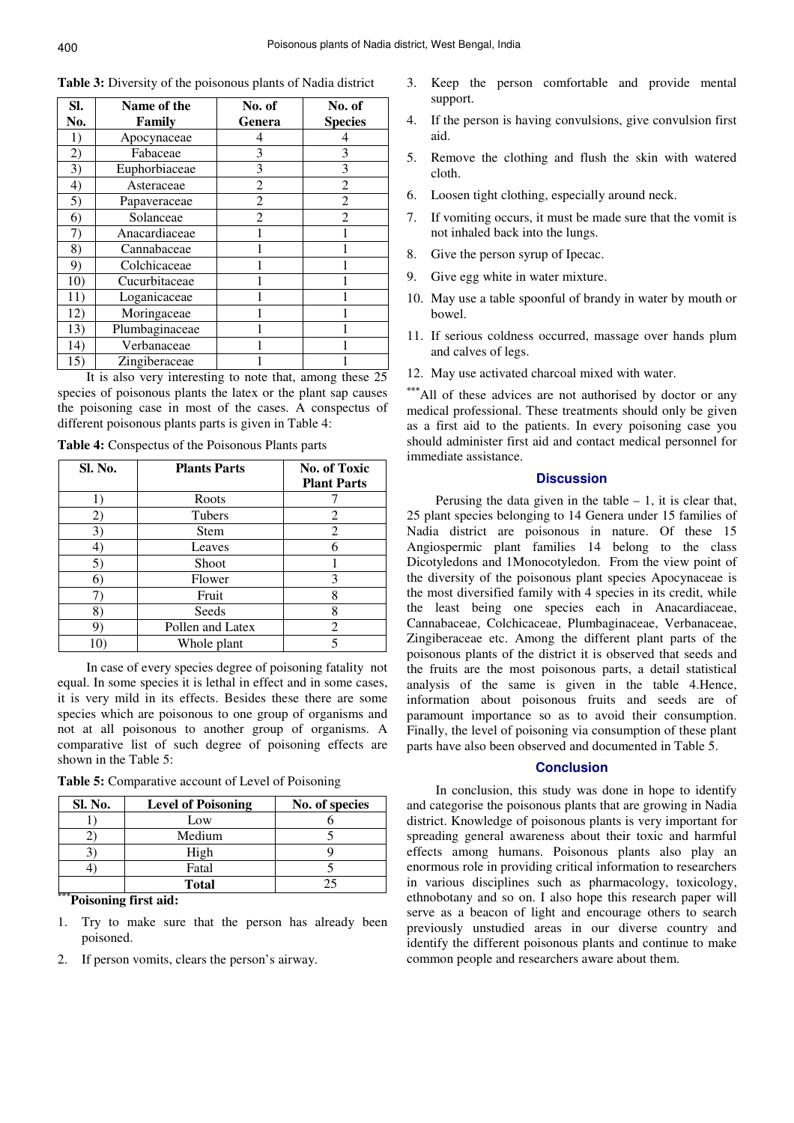| SI. | Name of the    | No. of         | No. of         |
|-----|----------------|----------------|----------------|
| No. | Family         | Genera         | <b>Species</b> |
| 1)  | Apocynaceae    | 4              | 4              |
| 2)  | Fabaceae       | 3              | 3              |
| 3)  | Euphorbiaceae  | 3              | 3              |
| 4)  | Asteraceae     | $\overline{2}$ | $\overline{2}$ |
| 5)  | Papaveraceae   | $\overline{2}$ | $\overline{2}$ |
| 6)  | Solanceae      | $\overline{2}$ | $\overline{2}$ |
| 7)  | Anacardiaceae  |                |                |
| 8)  | Cannabaceae    |                |                |
| 9)  | Colchicaceae   |                |                |
| 10) | Cucurbitaceae  |                |                |
| 11) | Loganicaceae   |                |                |
| 12) | Moringaceae    |                |                |
| 13) | Plumbaginaceae |                |                |
| 14) | Verbanaceae    |                |                |
| 15) | Zingiberaceae  |                |                |

**Table 3:** Diversity of the poisonous plants of Nadia district

It is also very interesting to note that, among these 25 species of poisonous plants the latex or the plant sap causes the poisoning case in most of the cases. A conspectus of different poisonous plants parts is given in Table 4:

**Table 4:** Conspectus of the Poisonous Plants parts

| Sl. No. | <b>Plants Parts</b> | <b>No. of Toxic</b> |
|---------|---------------------|---------------------|
|         |                     | <b>Plant Parts</b>  |
|         | Roots               |                     |
| 2)      | Tubers              | 2                   |
| 3)      | <b>Stem</b>         | 2                   |
| 4       | Leaves              | 6                   |
| 5)      | Shoot               |                     |
| 6       | Flower              | 3                   |
|         | Fruit               | 8                   |
| 8       | Seeds               | 8                   |
|         | Pollen and Latex    | 2                   |
|         | Whole plant         | 5                   |

In case of every species degree of poisoning fatality not equal. In some species it is lethal in effect and in some cases, it is very mild in its effects. Besides these there are some species which are poisonous to one group of organisms and not at all poisonous to another group of organisms. A comparative list of such degree of poisoning effects are shown in the Table 5:

**Table 5:** Comparative account of Level of Poisoning

| Sl. No. | <b>Level of Poisoning</b> | No. of species |
|---------|---------------------------|----------------|
|         | Low                       |                |
|         | Medium                    |                |
|         | High                      |                |
|         | Fatal                     |                |
| 大会会     | <b>Total</b>              |                |

#### **\*\*\*Poisoning first aid:**

- 1. Try to make sure that the person has already been poisoned.
- 2. If person vomits, clears the person's airway.
- 3. Keep the person comfortable and provide mental support.
- 4. If the person is having convulsions, give convulsion first aid.
- 5. Remove the clothing and flush the skin with watered cloth.
- 6. Loosen tight clothing, especially around neck.
- 7. If vomiting occurs, it must be made sure that the vomit is not inhaled back into the lungs.
- 8. Give the person syrup of Ipecac.
- 9. Give egg white in water mixture.
- 10. May use a table spoonful of brandy in water by mouth or bowel.
- 11. If serious coldness occurred, massage over hands plum and calves of legs.
- 12. May use activated charcoal mixed with water.

**\*\*\***All of these advices are not authorised by doctor or any medical professional. These treatments should only be given as a first aid to the patients. In every poisoning case you should administer first aid and contact medical personnel for immediate assistance.

#### **Discussion**

Perusing the data given in the table  $-1$ , it is clear that, 25 plant species belonging to 14 Genera under 15 families of Nadia district are poisonous in nature. Of these 15 Angiospermic plant families 14 belong to the class Dicotyledons and 1Monocotyledon. From the view point of the diversity of the poisonous plant species Apocynaceae is the most diversified family with 4 species in its credit, while the least being one species each in Anacardiaceae, Cannabaceae, Colchicaceae, Plumbaginaceae, Verbanaceae, Zingiberaceae etc. Among the different plant parts of the poisonous plants of the district it is observed that seeds and the fruits are the most poisonous parts, a detail statistical analysis of the same is given in the table 4.Hence, information about poisonous fruits and seeds are of paramount importance so as to avoid their consumption. Finally, the level of poisoning via consumption of these plant parts have also been observed and documented in Table 5.

#### **Conclusion**

In conclusion, this study was done in hope to identify and categorise the poisonous plants that are growing in Nadia district. Knowledge of poisonous plants is very important for spreading general awareness about their toxic and harmful effects among humans. Poisonous plants also play an enormous role in providing critical information to researchers in various disciplines such as pharmacology, toxicology, ethnobotany and so on. I also hope this research paper will serve as a beacon of light and encourage others to search previously unstudied areas in our diverse country and identify the different poisonous plants and continue to make common people and researchers aware about them.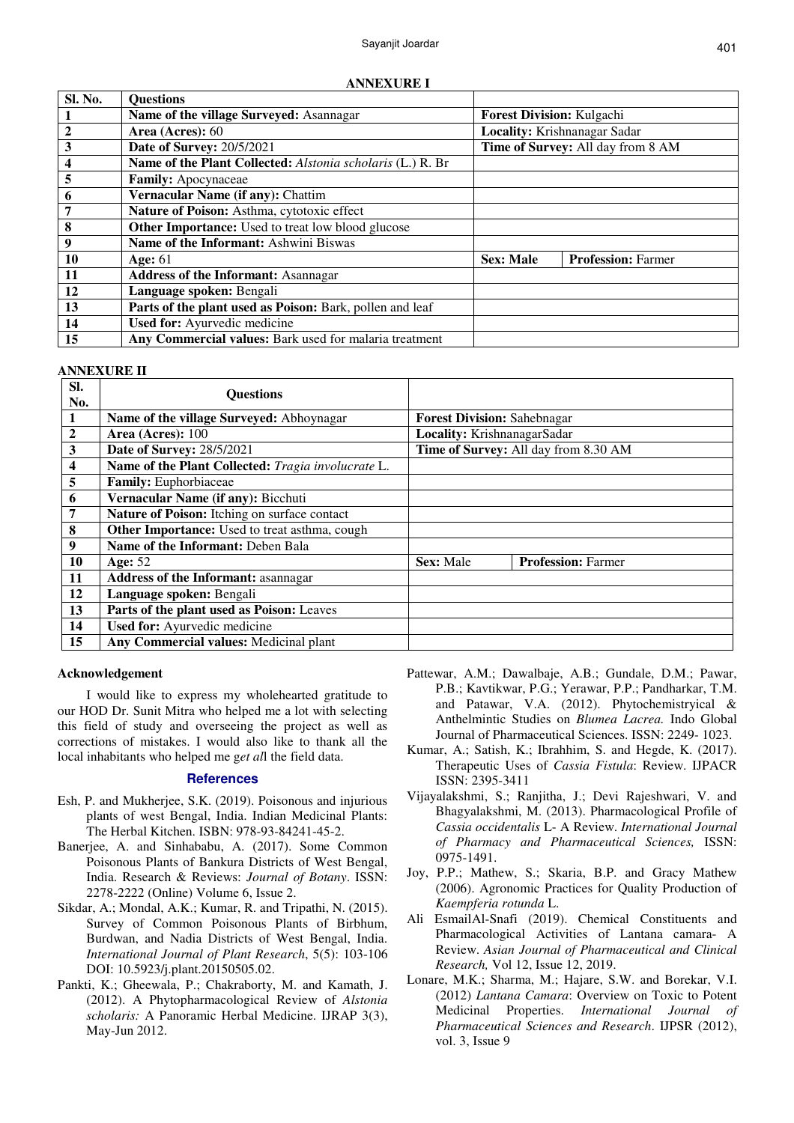**ANNEXURE I** 

| Sl. No.                 | <b>Questions</b>                                                  |                                   |                              |
|-------------------------|-------------------------------------------------------------------|-----------------------------------|------------------------------|
| $\perp$                 | Name of the village Surveyed: Asannagar                           | <b>Forest Division: Kulgachi</b>  |                              |
| $\overline{2}$          | Area (Acres): 60                                                  |                                   | Locality: Krishnanagar Sadar |
| $\overline{\mathbf{3}}$ | <b>Date of Survey: 20/5/2021</b>                                  | Time of Survey: All day from 8 AM |                              |
| $\frac{4}{5}$           | <b>Name of the Plant Collected:</b> Alstonia scholaris (L.) R. Br |                                   |                              |
|                         | Family: Apocynaceae                                               |                                   |                              |
| 6                       | Vernacular Name (if any): Chattim                                 |                                   |                              |
| $\overline{7}$          | Nature of Poison: Asthma, cytotoxic effect                        |                                   |                              |
| $\overline{\mathbf{8}}$ | <b>Other Importance:</b> Used to treat low blood glucose          |                                   |                              |
| $\boldsymbol{9}$        | Name of the Informant: Ashwini Biswas                             |                                   |                              |
| <b>10</b>               | Age: $61$                                                         | <b>Sex: Male</b>                  | <b>Profession: Farmer</b>    |
| <b>11</b>               | <b>Address of the Informant: Asannagar</b>                        |                                   |                              |
| <b>12</b>               | Language spoken: Bengali                                          |                                   |                              |
| 13                      | Parts of the plant used as Poison: Bark, pollen and leaf          |                                   |                              |
| 14                      | Used for: Ayurvedic medicine                                      |                                   |                              |
| 15                      | Any Commercial values: Bark used for malaria treatment            |                                   |                              |

# **ANNEXURE II**

| SI.<br>No.       | <b>Questions</b>                                   |                                      |                                    |
|------------------|----------------------------------------------------|--------------------------------------|------------------------------------|
|                  | Name of the village Surveyed: Abhoynagar           |                                      | <b>Forest Division: Sahebnagar</b> |
| $\boldsymbol{2}$ | Area (Acres): 100                                  | Locality: KrishnanagarSadar          |                                    |
| $\mathbf{3}$     | Date of Survey: 28/5/2021                          | Time of Survey: All day from 8.30 AM |                                    |
| 4                | Name of the Plant Collected: Tragia involucrate L. |                                      |                                    |
| 5                | Family: Euphorbiaceae                              |                                      |                                    |
| 6                | Vernacular Name (if any): Bicchuti                 |                                      |                                    |
| 7                | Nature of Poison: Itching on surface contact       |                                      |                                    |
| $\bf{8}$         | Other Importance: Used to treat asthma, cough      |                                      |                                    |
| 9                | Name of the Informant: Deben Bala                  |                                      |                                    |
| 10               | Age: $52$                                          | <b>Sex: Male</b>                     | <b>Profession: Farmer</b>          |
| 11               | <b>Address of the Informant: asannagar</b>         |                                      |                                    |
| 12               | Language spoken: Bengali                           |                                      |                                    |
| 13               | Parts of the plant used as Poison: Leaves          |                                      |                                    |
| 14               | Used for: Ayurvedic medicine                       |                                      |                                    |
| 15               | Any Commercial values: Medicinal plant             |                                      |                                    |

#### **Acknowledgement**

I would like to express my wholehearted gratitude to our HOD Dr. Sunit Mitra who helped me a lot with selecting this field of study and overseeing the project as well as corrections of mistakes. I would also like to thank all the local inhabitants who helped me g*et al*l the field data.

#### **References**

- Esh, P. and Mukherjee, S.K. (2019). Poisonous and injurious plants of west Bengal, India. Indian Medicinal Plants: The Herbal Kitchen. ISBN: 978-93-84241-45-2.
- Banerjee, A. and Sinhababu, A. (2017). Some Common Poisonous Plants of Bankura Districts of West Bengal, India. Research & Reviews: *Journal of Botany*. ISSN: 2278-2222 (Online) Volume 6, Issue 2.
- Sikdar, A.; Mondal, A.K.; Kumar, R. and Tripathi, N. (2015). Survey of Common Poisonous Plants of Birbhum, Burdwan, and Nadia Districts of West Bengal, India. *International Journal of Plant Research*, 5(5): 103-106 DOI: 10.5923/j.plant.20150505.02.
- Pankti, K.; Gheewala, P.; Chakraborty, M. and Kamath, J. (2012). A Phytopharmacological Review of *Alstonia scholaris:* A Panoramic Herbal Medicine. IJRAP 3(3), May-Jun 2012.
- Pattewar, A.M.; Dawalbaje, A.B.; Gundale, D.M.; Pawar, P.B.; Kavtikwar, P.G.; Yerawar, P.P.; Pandharkar, T.M. and Patawar, V.A. (2012). Phytochemistryical & Anthelmintic Studies on *Blumea Lacrea.* Indo Global Journal of Pharmaceutical Sciences. ISSN: 2249- 1023.
- Kumar, A.; Satish, K.; Ibrahhim, S. and Hegde, K. (2017). Therapeutic Uses of *Cassia Fistula*: Review. IJPACR ISSN: 2395-3411
- Vijayalakshmi, S.; Ranjitha, J.; Devi Rajeshwari, V. and Bhagyalakshmi, M. (2013). Pharmacological Profile of *Cassia occidentalis* L- A Review. *International Journal of Pharmacy and Pharmaceutical Sciences,* ISSN: 0975-1491.
- Joy, P.P.; Mathew, S.; Skaria, B.P. and Gracy Mathew (2006). Agronomic Practices for Quality Production of *Kaempferia rotunda* L.
- Ali EsmailAl-Snafi (2019). Chemical Constituents and Pharmacological Activities of Lantana camara- A Review. *Asian Journal of Pharmaceutical and Clinical Research,* Vol 12, Issue 12, 2019.
- Lonare, M.K.; Sharma, M.; Hajare, S.W. and Borekar, V.I. (2012) *Lantana Camara*: Overview on Toxic to Potent Medicinal Properties. *International Journal of Pharmaceutical Sciences and Research*. IJPSR (2012), vol. 3, Issue 9